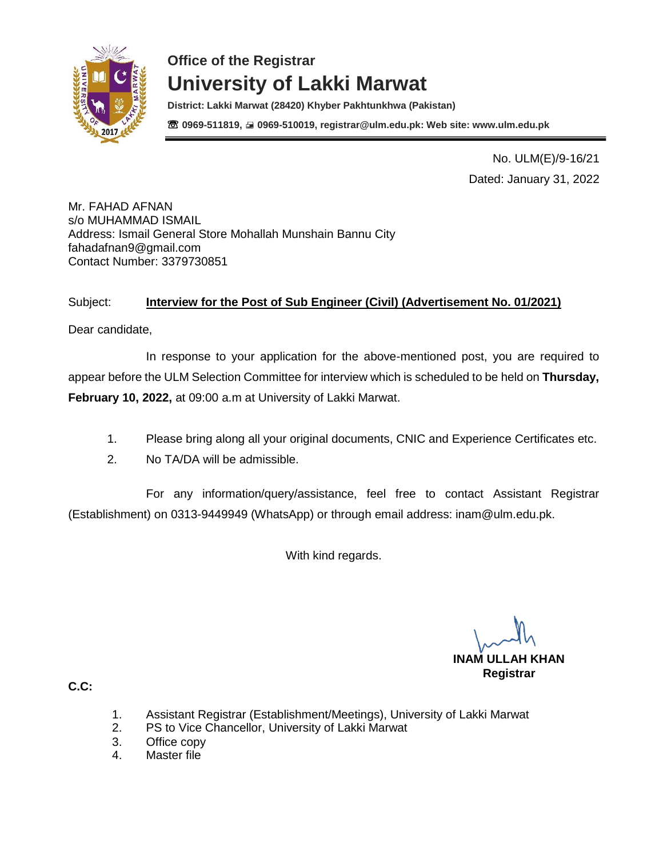

**District: Lakki Marwat (28420) Khyber Pakhtunkhwa (Pakistan)** ☏ **0969-511819, 0969-510019, registrar@ulm.edu.pk: Web site: www.ulm.edu.pk**

> No. ULM(E)/9-16/21 Dated: January 31, 2022

Mr. FAHAD AFNAN s/o MUHAMMAD ISMAIL Address: Ismail General Store Mohallah Munshain Bannu City [fahadafnan9@gmail.com](mailto:fahadafnan9@gmail.com) Contact Number: 3379730851

### Subject: **Interview for the Post of Sub Engineer (Civil) (Advertisement No. 01/2021)**

Dear candidate,

In response to your application for the above-mentioned post, you are required to appear before the ULM Selection Committee for interview which is scheduled to be held on **Thursday, February 10, 2022,** at 09:00 a.m at University of Lakki Marwat.

- 1. Please bring along all your original documents, CNIC and Experience Certificates etc.
- 2. No TA/DA will be admissible.

For any information/query/assistance, feel free to contact Assistant Registrar (Establishment) on 0313-9449949 (WhatsApp) or through email address: [inam@ulm.edu.pk.](mailto:inam@ulm.edu.pk)

With kind regards.

**INAM ULLAH KHAN Registrar** 

- 1. Assistant Registrar (Establishment/Meetings), University of Lakki Marwat
- 2. PS to Vice Chancellor, University of Lakki Marwat
- 3. Office copy
- 4. Master file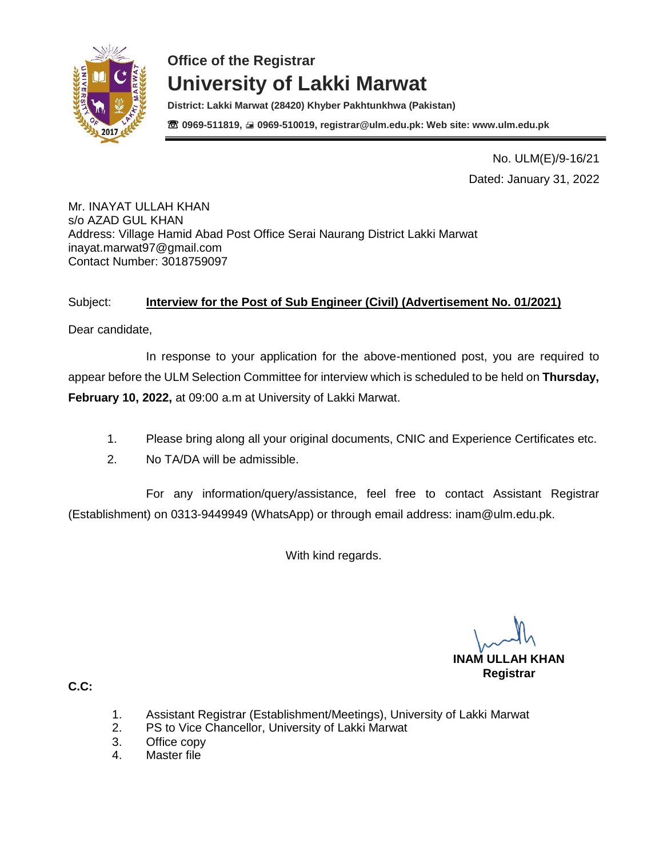

**District: Lakki Marwat (28420) Khyber Pakhtunkhwa (Pakistan)** ☏ **0969-511819, 0969-510019, registrar@ulm.edu.pk: Web site: www.ulm.edu.pk**

> No. ULM(E)/9-16/21 Dated: January 31, 2022

Mr. INAYAT ULLAH KHAN s/o AZAD GUL KHAN Address: Village Hamid Abad Post Office Serai Naurang District Lakki Marwat [inayat.marwat97@gmail.com](mailto:inayat.marwat97@gmail.com) Contact Number: 3018759097

### Subject: **Interview for the Post of Sub Engineer (Civil) (Advertisement No. 01/2021)**

Dear candidate,

In response to your application for the above-mentioned post, you are required to appear before the ULM Selection Committee for interview which is scheduled to be held on **Thursday, February 10, 2022,** at 09:00 a.m at University of Lakki Marwat.

- 1. Please bring along all your original documents, CNIC and Experience Certificates etc.
- 2. No TA/DA will be admissible.

For any information/query/assistance, feel free to contact Assistant Registrar (Establishment) on 0313-9449949 (WhatsApp) or through email address: [inam@ulm.edu.pk.](mailto:inam@ulm.edu.pk)

With kind regards.

**INAM ULLAH KHAN Registrar** 

- 1. Assistant Registrar (Establishment/Meetings), University of Lakki Marwat
- 2. PS to Vice Chancellor, University of Lakki Marwat
- 3. Office copy
- 4. Master file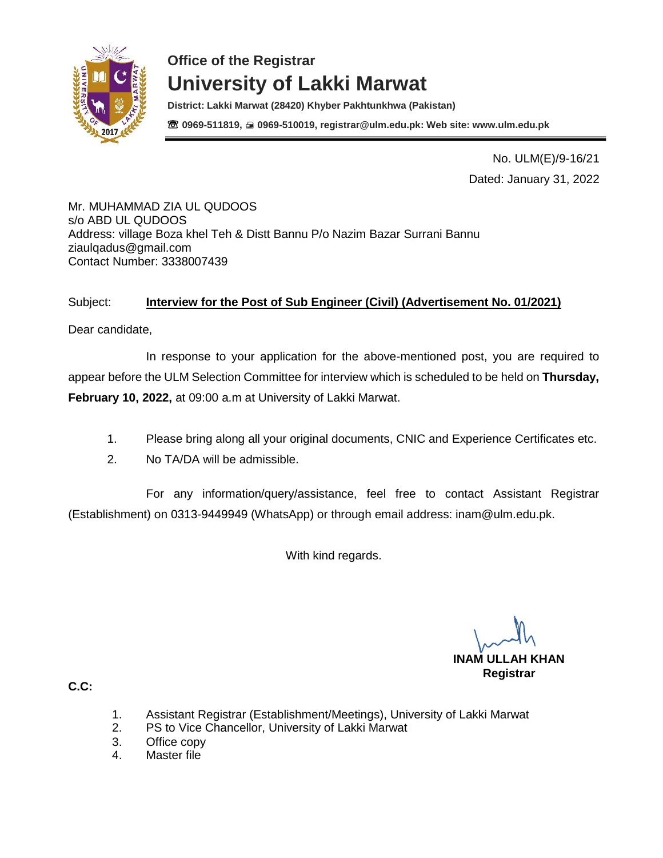

**District: Lakki Marwat (28420) Khyber Pakhtunkhwa (Pakistan)** ☏ **0969-511819, 0969-510019, registrar@ulm.edu.pk: Web site: www.ulm.edu.pk**

> No. ULM(E)/9-16/21 Dated: January 31, 2022

Mr. MUHAMMAD ZIA UL QUDOOS s/o ABD UL QUDOOS Address: village Boza khel Teh & Distt Bannu P/o Nazim Bazar Surrani Bannu [ziaulqadus@gmail.com](mailto:ziaulqadus@gmail.com) Contact Number: 3338007439

### Subject: **Interview for the Post of Sub Engineer (Civil) (Advertisement No. 01/2021)**

Dear candidate,

In response to your application for the above-mentioned post, you are required to appear before the ULM Selection Committee for interview which is scheduled to be held on **Thursday, February 10, 2022,** at 09:00 a.m at University of Lakki Marwat.

- 1. Please bring along all your original documents, CNIC and Experience Certificates etc.
- 2. No TA/DA will be admissible.

For any information/query/assistance, feel free to contact Assistant Registrar (Establishment) on 0313-9449949 (WhatsApp) or through email address: [inam@ulm.edu.pk.](mailto:inam@ulm.edu.pk)

With kind regards.

**INAM ULLAH KHAN Registrar** 

- 1. Assistant Registrar (Establishment/Meetings), University of Lakki Marwat
- 2. PS to Vice Chancellor, University of Lakki Marwat
- 3. Office copy
- 4. Master file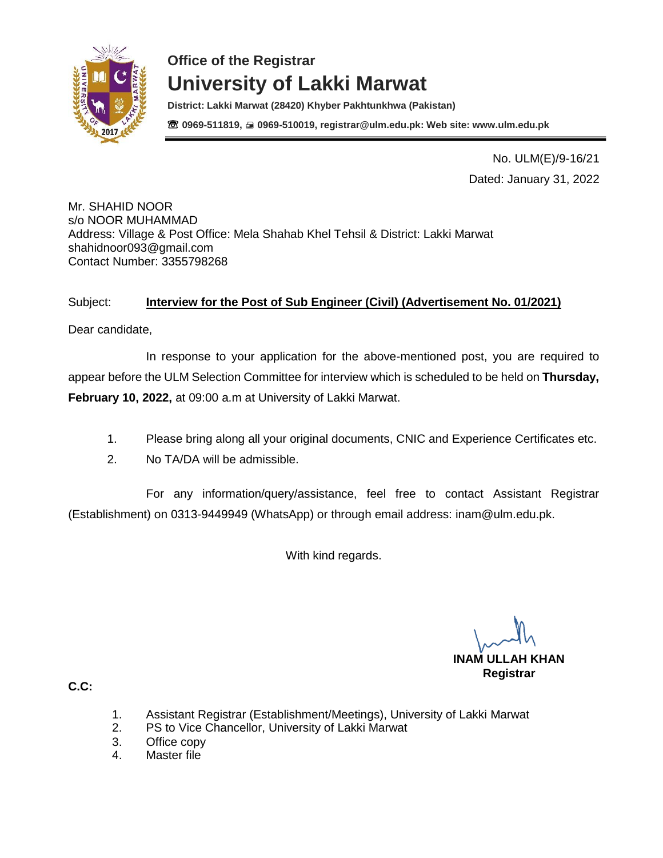

**District: Lakki Marwat (28420) Khyber Pakhtunkhwa (Pakistan)** ☏ **0969-511819, 0969-510019, registrar@ulm.edu.pk: Web site: www.ulm.edu.pk**

> No. ULM(E)/9-16/21 Dated: January 31, 2022

Mr. SHAHID NOOR s/o NOOR MUHAMMAD Address: Village & Post Office: Mela Shahab Khel Tehsil & District: Lakki Marwat [shahidnoor093@gmail.com](mailto:shahidnoor093@gmail.com) Contact Number: 3355798268

### Subject: **Interview for the Post of Sub Engineer (Civil) (Advertisement No. 01/2021)**

Dear candidate,

In response to your application for the above-mentioned post, you are required to appear before the ULM Selection Committee for interview which is scheduled to be held on **Thursday, February 10, 2022,** at 09:00 a.m at University of Lakki Marwat.

- 1. Please bring along all your original documents, CNIC and Experience Certificates etc.
- 2. No TA/DA will be admissible.

For any information/query/assistance, feel free to contact Assistant Registrar (Establishment) on 0313-9449949 (WhatsApp) or through email address: [inam@ulm.edu.pk.](mailto:inam@ulm.edu.pk)

With kind regards.

**INAM ULLAH KHAN Registrar** 

- 1. Assistant Registrar (Establishment/Meetings), University of Lakki Marwat
- 2. PS to Vice Chancellor, University of Lakki Marwat
- 3. Office copy
- 4. Master file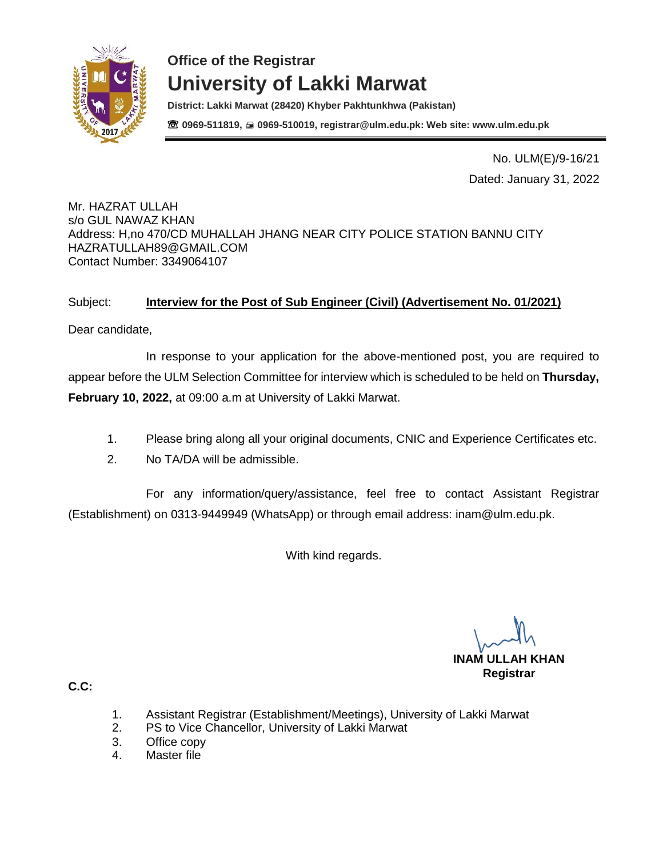

**District: Lakki Marwat (28420) Khyber Pakhtunkhwa (Pakistan)** ☏ **0969-511819, 0969-510019, registrar@ulm.edu.pk: Web site: www.ulm.edu.pk**

> No. ULM(E)/9-16/21 Dated: January 31, 2022

Mr. HAZRAT ULLAH s/o GUL NAWAZ KHAN Address: H,no 470/CD MUHALLAH JHANG NEAR CITY POLICE STATION BANNU CITY [HAZRATULLAH89@GMAIL.COM](mailto:HAZRATULLAH89@GMAIL.COM) Contact Number: 3349064107

#### Subject: **Interview for the Post of Sub Engineer (Civil) (Advertisement No. 01/2021)**

Dear candidate,

In response to your application for the above-mentioned post, you are required to appear before the ULM Selection Committee for interview which is scheduled to be held on **Thursday, February 10, 2022,** at 09:00 a.m at University of Lakki Marwat.

- 1. Please bring along all your original documents, CNIC and Experience Certificates etc.
- 2. No TA/DA will be admissible.

For any information/query/assistance, feel free to contact Assistant Registrar (Establishment) on 0313-9449949 (WhatsApp) or through email address: [inam@ulm.edu.pk.](mailto:inam@ulm.edu.pk)

With kind regards.

**INAM ULLAH KHAN Registrar** 

- 1. Assistant Registrar (Establishment/Meetings), University of Lakki Marwat
- 2. PS to Vice Chancellor, University of Lakki Marwat
- 3. Office copy
- 4. Master file